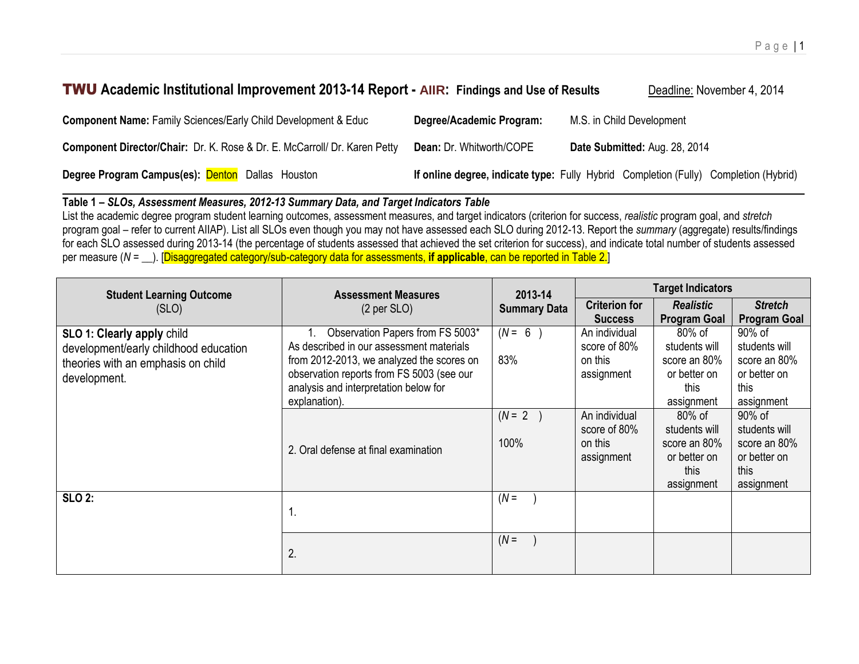# **TWU** Academic Institutional Improvement 2013-14 Report - AIIR: Findings and Use of Results **Deadline: November 4, 2014**

| <b>Component Name: Family Sciences/Early Child Development &amp; Educ</b>        | Degree/Academic Program:        | M.S. in Child Development                                                            |
|----------------------------------------------------------------------------------|---------------------------------|--------------------------------------------------------------------------------------|
| <b>Component Director/Chair:</b> Dr. K. Rose & Dr. E. McCarroll/ Dr. Karen Petty | <b>Dean: Dr. Whitworth/COPE</b> | Date Submitted: Aug. 28, 2014                                                        |
| Degree Program Campus(es): Denton Dallas Houston                                 |                                 | If online degree, indicate type: Fully Hybrid Completion (Fully) Completion (Hybrid) |

## **Table 1** *– SLOs, Assessment Measures, 2012-13 Summary Data, and Target Indicators Table*

List the academic degree program student learning outcomes, assessment measures, and target indicators (criterion for success, *realistic* program goal, and *stretch* program goal – refer to current AIIAP). List all SLOs even though you may not have assessed each SLO during 2012-13. Report the *summary* (aggregate) results/findings for each SLO assessed during 2013-14 (the percentage of students assessed that achieved the set criterion for success), and indicate total number of students assessed per measure (*N =* \_\_). [Disaggregated category/sub-category data for assessments, **if applicable**, can be reported in Table 2.]

| <b>Student Learning Outcome</b>                                                                                           | <b>Assessment Measures</b>                                                                                                                                                                                                       | 2013-14             |                                                        | <b>Target Indicators</b>                                                      |                                                                               |
|---------------------------------------------------------------------------------------------------------------------------|----------------------------------------------------------------------------------------------------------------------------------------------------------------------------------------------------------------------------------|---------------------|--------------------------------------------------------|-------------------------------------------------------------------------------|-------------------------------------------------------------------------------|
| (SLO)                                                                                                                     | $(2 \text{ per } SLO)$                                                                                                                                                                                                           | <b>Summary Data</b> | <b>Criterion for</b><br><b>Success</b>                 | <b>Realistic</b><br><b>Program Goal</b>                                       | <b>Stretch</b><br><b>Program Goal</b>                                         |
| SLO 1: Clearly apply child<br>development/early childhood education<br>theories with an emphasis on child<br>development. | Observation Papers from FS 5003*<br>As described in our assessment materials<br>from 2012-2013, we analyzed the scores on<br>observation reports from FS 5003 (see our<br>analysis and interpretation below for<br>explanation). | $(N = 6$<br>83%     | An individual<br>score of 80%<br>on this<br>assignment | 80% of<br>students will<br>score an 80%<br>or better on<br>this<br>assignment | 90% of<br>students will<br>score an 80%<br>or better on<br>this<br>assignment |
|                                                                                                                           | 2. Oral defense at final examination                                                                                                                                                                                             | $(N=2)$<br>100%     | An individual<br>score of 80%<br>on this<br>assignment | 80% of<br>students will<br>score an 80%<br>or better on<br>this<br>assignment | 90% of<br>students will<br>score an 80%<br>or better on<br>this<br>assignment |
| <b>SLO 2:</b>                                                                                                             | 1.                                                                                                                                                                                                                               | $(N =$              |                                                        |                                                                               |                                                                               |
|                                                                                                                           | 2.                                                                                                                                                                                                                               | $(N =$              |                                                        |                                                                               |                                                                               |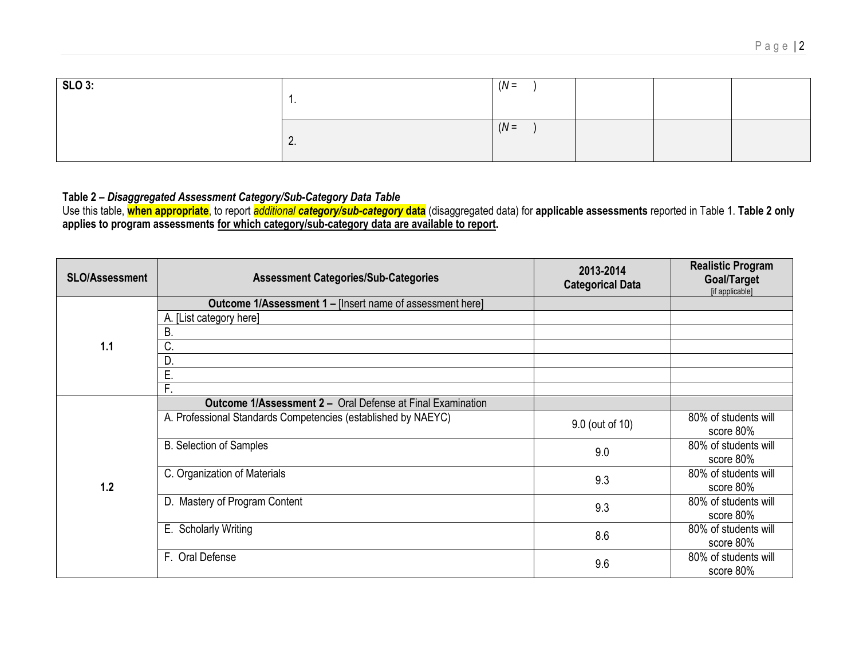| <b>SLO 3:</b> | . .             | $(N =$ |  |
|---------------|-----------------|--------|--|
|               | $\mathcal{L}$ . | $(N =$ |  |

#### **Table 2 –** *Disaggregated Assessment Category/Sub-Category Data Table*

Use this table, **when appropriate**, to report *additional category/sub-category* **data** (disaggregated data) for **applicable assessments** reported in Table 1. **Table 2 only applies to program assessments for which category/sub-category data are available to report.**

| <b>SLO/Assessment</b> | <b>Assessment Categories/Sub-Categories</b>                       | 2013-2014<br><b>Categorical Data</b> | <b>Realistic Program</b><br>Goal/Target<br>[if applicable] |
|-----------------------|-------------------------------------------------------------------|--------------------------------------|------------------------------------------------------------|
|                       | <b>Outcome 1/Assessment 1 - [Insert name of assessment here]</b>  |                                      |                                                            |
|                       | A. [List category here]                                           |                                      |                                                            |
|                       | В.                                                                |                                      |                                                            |
| 1.1                   | C.                                                                |                                      |                                                            |
|                       | D.                                                                |                                      |                                                            |
|                       | Ε.                                                                |                                      |                                                            |
|                       | F.                                                                |                                      |                                                            |
|                       | <b>Outcome 1/Assessment 2 - Oral Defense at Final Examination</b> |                                      |                                                            |
| 1.2                   | A. Professional Standards Competencies (established by NAEYC)     | 9.0 (out of 10)                      | 80% of students will<br>score 80%                          |
|                       | <b>B.</b> Selection of Samples                                    | 9.0                                  | 80% of students will<br>score 80%                          |
|                       | C. Organization of Materials                                      | 9.3                                  | 80% of students will<br>score 80%                          |
|                       | D. Mastery of Program Content                                     | 9.3                                  | 80% of students will<br>score 80%                          |
|                       | E. Scholarly Writing                                              | 8.6                                  | 80% of students will<br>score 80%                          |
|                       | F. Oral Defense                                                   | 9.6                                  | 80% of students will<br>score 80%                          |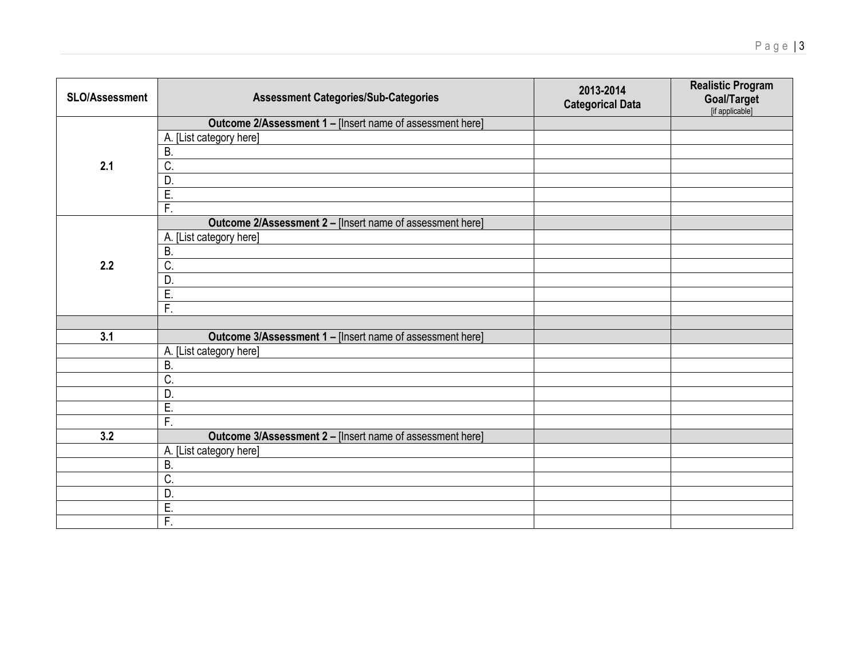| SLO/Assessment | <b>Assessment Categories/Sub-Categories</b>               | 2013-2014<br><b>Categorical Data</b> | <b>Realistic Program</b><br>Goal/Target<br>[if applicable] |
|----------------|-----------------------------------------------------------|--------------------------------------|------------------------------------------------------------|
|                | Outcome 2/Assessment 1 - [Insert name of assessment here] |                                      |                                                            |
|                | A. [List category here]                                   |                                      |                                                            |
|                | B                                                         |                                      |                                                            |
| 2.1            | C.                                                        |                                      |                                                            |
|                | D                                                         |                                      |                                                            |
|                | Ē.                                                        |                                      |                                                            |
|                | $\overline{F}$ .                                          |                                      |                                                            |
|                | Outcome 2/Assessment 2 - [Insert name of assessment here] |                                      |                                                            |
|                | A. [List category here]                                   |                                      |                                                            |
|                | B                                                         |                                      |                                                            |
| 2.2            | C.                                                        |                                      |                                                            |
|                | D                                                         |                                      |                                                            |
|                | E.                                                        |                                      |                                                            |
|                | $\overline{F}$ .                                          |                                      |                                                            |
|                |                                                           |                                      |                                                            |
| 3.1            | Outcome 3/Assessment 1 - [Insert name of assessment here] |                                      |                                                            |
|                | A. [List category here]                                   |                                      |                                                            |
|                | $\overline{B}$                                            |                                      |                                                            |
|                | C.                                                        |                                      |                                                            |
|                | D                                                         |                                      |                                                            |
|                | $\overline{E}$                                            |                                      |                                                            |
|                | $\overline{F}$ .                                          |                                      |                                                            |
| 3.2            | Outcome 3/Assessment 2 - [Insert name of assessment here] |                                      |                                                            |
|                | A. [List category here]                                   |                                      |                                                            |
|                | <b>B.</b>                                                 |                                      |                                                            |
|                | C.                                                        |                                      |                                                            |
|                | D                                                         |                                      |                                                            |
|                | E.                                                        |                                      |                                                            |
|                | $\overline{F}$ .                                          |                                      |                                                            |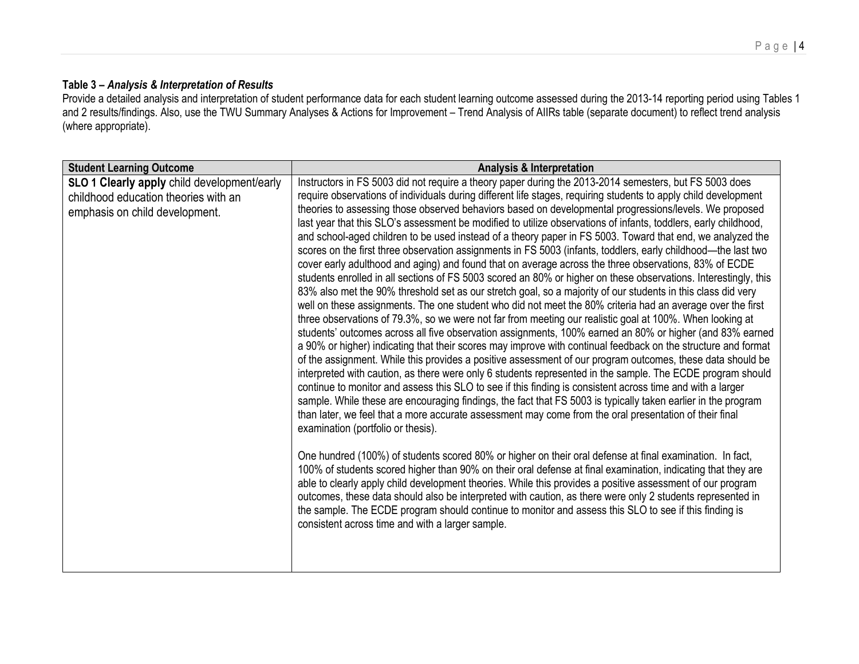### **Table 3 –** *Analysis & Interpretation of Results*

Provide a detailed analysis and interpretation of student performance data for each student learning outcome assessed during the 2013-14 reporting period using Tables 1 and 2 results/findings. Also, use the TWU Summary Analyses & Actions for Improvement – Trend Analysis of AIIRs table (separate document) to reflect trend analysis (where appropriate).

| <b>Student Learning Outcome</b>                                                                                       | <b>Analysis &amp; Interpretation</b>                                                                                                                                                                                                                                                                                                                                                                                                                                                                                                                                                                                                                                                                                                                                                                                                                                                                                                                                                                                                                                                                                                                                                                                                                                                                                                                                                                                                                                                                                                                                                                                                                                                                                                                                                                                                                                                                                                                                                                                                                                                                                                                                                                                                                                                                                                                                                                                                                                                                                                                                                                                                                                                                                     |
|-----------------------------------------------------------------------------------------------------------------------|--------------------------------------------------------------------------------------------------------------------------------------------------------------------------------------------------------------------------------------------------------------------------------------------------------------------------------------------------------------------------------------------------------------------------------------------------------------------------------------------------------------------------------------------------------------------------------------------------------------------------------------------------------------------------------------------------------------------------------------------------------------------------------------------------------------------------------------------------------------------------------------------------------------------------------------------------------------------------------------------------------------------------------------------------------------------------------------------------------------------------------------------------------------------------------------------------------------------------------------------------------------------------------------------------------------------------------------------------------------------------------------------------------------------------------------------------------------------------------------------------------------------------------------------------------------------------------------------------------------------------------------------------------------------------------------------------------------------------------------------------------------------------------------------------------------------------------------------------------------------------------------------------------------------------------------------------------------------------------------------------------------------------------------------------------------------------------------------------------------------------------------------------------------------------------------------------------------------------------------------------------------------------------------------------------------------------------------------------------------------------------------------------------------------------------------------------------------------------------------------------------------------------------------------------------------------------------------------------------------------------------------------------------------------------------------------------------------------------|
| SLO 1 Clearly apply child development/early<br>childhood education theories with an<br>emphasis on child development. | Instructors in FS 5003 did not require a theory paper during the 2013-2014 semesters, but FS 5003 does<br>require observations of individuals during different life stages, requiring students to apply child development<br>theories to assessing those observed behaviors based on developmental progressions/levels. We proposed<br>last year that this SLO's assessment be modified to utilize observations of infants, toddlers, early childhood,<br>and school-aged children to be used instead of a theory paper in FS 5003. Toward that end, we analyzed the<br>scores on the first three observation assignments in FS 5003 (infants, toddlers, early childhood—the last two<br>cover early adulthood and aging) and found that on average across the three observations, 83% of ECDE<br>students enrolled in all sections of FS 5003 scored an 80% or higher on these observations. Interestingly, this<br>83% also met the 90% threshold set as our stretch goal, so a majority of our students in this class did very<br>well on these assignments. The one student who did not meet the 80% criteria had an average over the first<br>three observations of 79.3%, so we were not far from meeting our realistic goal at 100%. When looking at<br>students' outcomes across all five observation assignments, 100% earned an 80% or higher (and 83% earned<br>a 90% or higher) indicating that their scores may improve with continual feedback on the structure and format<br>of the assignment. While this provides a positive assessment of our program outcomes, these data should be<br>interpreted with caution, as there were only 6 students represented in the sample. The ECDE program should<br>continue to monitor and assess this SLO to see if this finding is consistent across time and with a larger<br>sample. While these are encouraging findings, the fact that FS 5003 is typically taken earlier in the program<br>than later, we feel that a more accurate assessment may come from the oral presentation of their final<br>examination (portfolio or thesis).<br>One hundred (100%) of students scored 80% or higher on their oral defense at final examination. In fact,<br>100% of students scored higher than 90% on their oral defense at final examination, indicating that they are<br>able to clearly apply child development theories. While this provides a positive assessment of our program<br>outcomes, these data should also be interpreted with caution, as there were only 2 students represented in<br>the sample. The ECDE program should continue to monitor and assess this SLO to see if this finding is<br>consistent across time and with a larger sample. |
|                                                                                                                       |                                                                                                                                                                                                                                                                                                                                                                                                                                                                                                                                                                                                                                                                                                                                                                                                                                                                                                                                                                                                                                                                                                                                                                                                                                                                                                                                                                                                                                                                                                                                                                                                                                                                                                                                                                                                                                                                                                                                                                                                                                                                                                                                                                                                                                                                                                                                                                                                                                                                                                                                                                                                                                                                                                                          |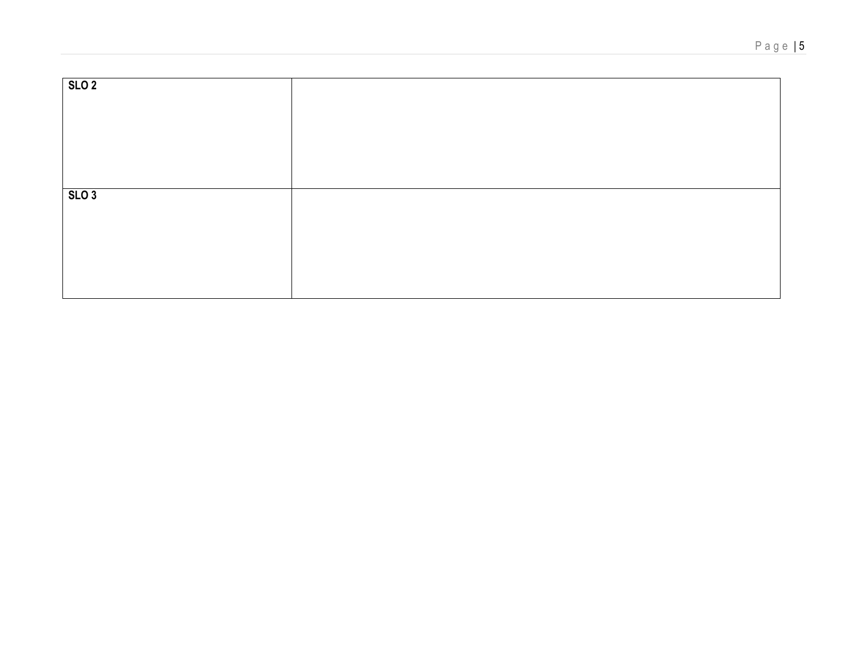| SLO <sub>2</sub> |  |
|------------------|--|
|                  |  |
|                  |  |
|                  |  |
|                  |  |
|                  |  |
|                  |  |
|                  |  |
|                  |  |
|                  |  |
|                  |  |
| SLO3             |  |
|                  |  |
|                  |  |
|                  |  |
|                  |  |
|                  |  |
|                  |  |
|                  |  |
|                  |  |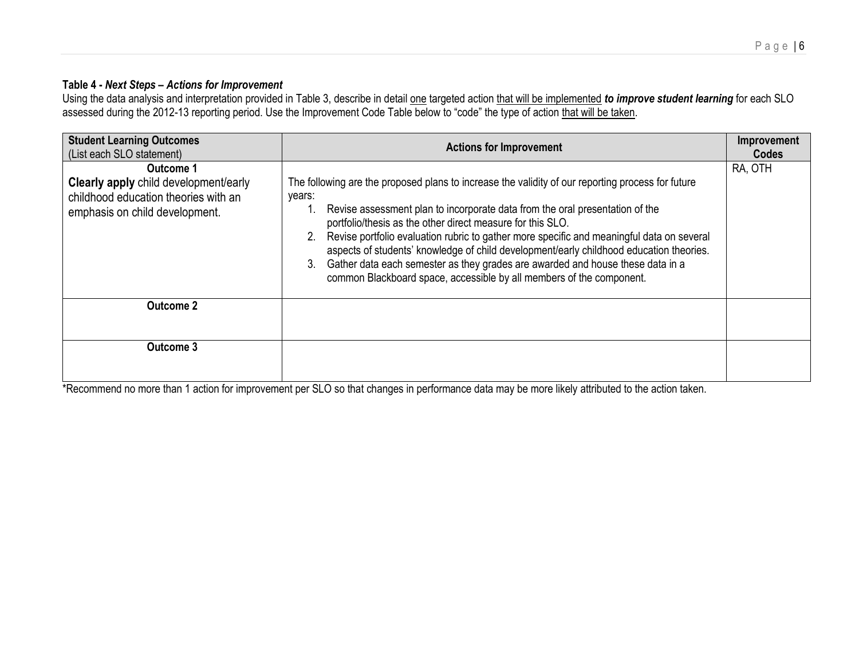### **Table 4 -** *Next Steps – Actions for Improvement*

Using the data analysis and interpretation provided in Table 3, describe in detail one targeted action that will be implemented *to improve student learning* for each SLO assessed during the 2012-13 reporting period. Use the Improvement Code Table below to "code" the type of action that will be taken.

| <b>Student Learning Outcomes</b><br>(List each SLO statement)                                                                | <b>Actions for Improvement</b>                                                                                                                                                                                                                                                                                                                                                                                                                                                                                                                                                                                    | Improvement<br>Codes |
|------------------------------------------------------------------------------------------------------------------------------|-------------------------------------------------------------------------------------------------------------------------------------------------------------------------------------------------------------------------------------------------------------------------------------------------------------------------------------------------------------------------------------------------------------------------------------------------------------------------------------------------------------------------------------------------------------------------------------------------------------------|----------------------|
| Outcome 1<br>Clearly apply child development/early<br>childhood education theories with an<br>emphasis on child development. | The following are the proposed plans to increase the validity of our reporting process for future<br>years:<br>Revise assessment plan to incorporate data from the oral presentation of the<br>portfolio/thesis as the other direct measure for this SLO.<br>Revise portfolio evaluation rubric to gather more specific and meaningful data on several<br>aspects of students' knowledge of child development/early childhood education theories.<br>Gather data each semester as they grades are awarded and house these data in a<br>3.<br>common Blackboard space, accessible by all members of the component. | RA, OTH              |
| <b>Outcome 2</b>                                                                                                             |                                                                                                                                                                                                                                                                                                                                                                                                                                                                                                                                                                                                                   |                      |
| Outcome 3                                                                                                                    |                                                                                                                                                                                                                                                                                                                                                                                                                                                                                                                                                                                                                   |                      |

\*Recommend no more than 1 action for improvement per SLO so that changes in performance data may be more likely attributed to the action taken.